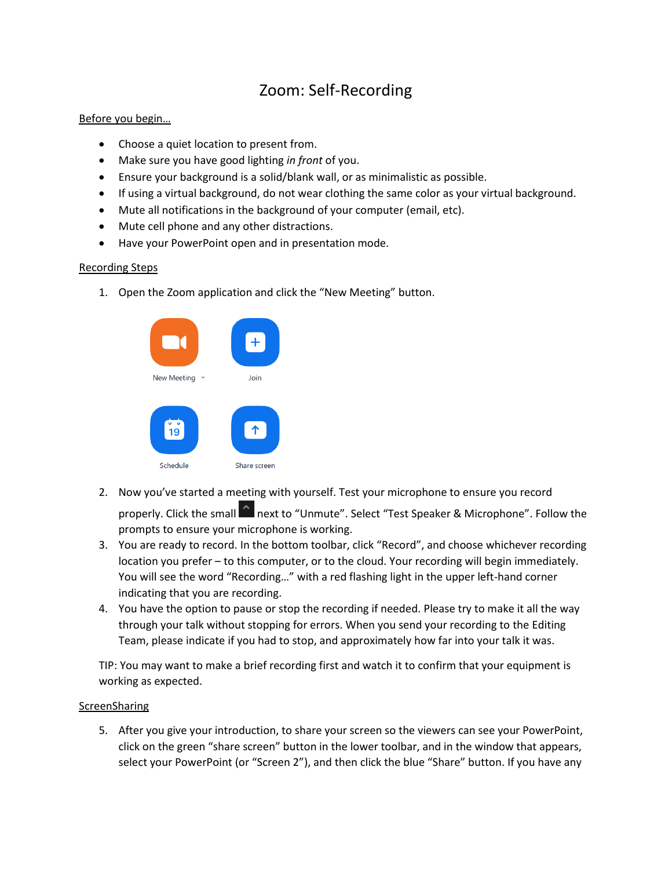# Zoom: Self-Recording

### Before you begin…

- Choose a quiet location to present from.
- Make sure you have good lighting *in front* of you.
- Ensure your background is a solid/blank wall, or as minimalistic as possible.
- If using a virtual background, do not wear clothing the same color as your virtual background.
- Mute all notifications in the background of your computer (email, etc).
- Mute cell phone and any other distractions.
- Have your PowerPoint open and in presentation mode.

### Recording Steps

1. Open the Zoom application and click the "New Meeting" button.



- 2. Now you've started a meeting with yourself. Test your microphone to ensure you record properly. Click the small **next to "Unmute". Select "Test Speaker & Microphone". Follow the** prompts to ensure your microphone is working.
- 3. You are ready to record. In the bottom toolbar, click "Record", and choose whichever recording location you prefer – to this computer, or to the cloud. Your recording will begin immediately. You will see the word "Recording…" with a red flashing light in the upper left-hand corner indicating that you are recording.
- 4. You have the option to pause or stop the recording if needed. Please try to make it all the way through your talk without stopping for errors. When you send your recording to the Editing Team, please indicate if you had to stop, and approximately how far into your talk it was.

TIP: You may want to make a brief recording first and watch it to confirm that your equipment is working as expected.

#### ScreenSharing

5. After you give your introduction, to share your screen so the viewers can see your PowerPoint, click on the green "share screen" button in the lower toolbar, and in the window that appears, select your PowerPoint (or "Screen 2"), and then click the blue "Share" button. If you have any